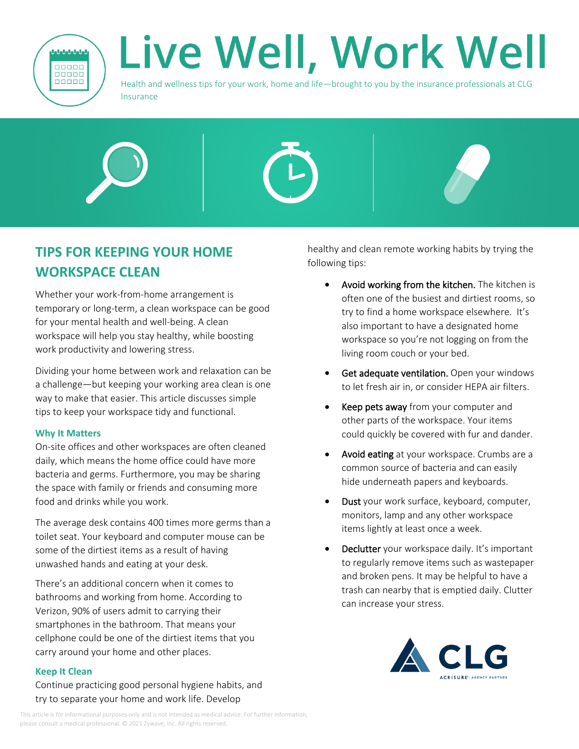

## Live Well, Work Well

Health and wellness tips for your work, home and life—brought to you by the insurance professionals at CLG **Insurance** 



## **TIPS FOR KEEPING YOUR HOME WORKSPACE CLEAN**

Whether your work-from-home arrangement is temporary or long-term, a clean workspace can be good for your mental health and well-being. A clean workspace will help you stay healthy, while boosting work productivity and lowering stress.

Dividing your home between work and relaxation can be a challenge—but keeping your working area clean is one way to make that easier. This article discusses simple tips to keep your workspace tidy and functional.

## **Why It Matters**

On-site offices and other workspaces are often cleaned daily, which means the home office could have more bacteria and germs. Furthermore, you may be sharing the space with family or friends and consuming more food and drinks while you work.

The average desk contains 400 times more germs than a toilet seat. Your keyboard and computer mouse can be some of the dirtiest items as a result of having unwashed hands and eating at your desk.

There's an additional concern when it comes to bathrooms and working from home. According to Verizon, 90% of users admit to carrying their smartphones in the bathroom. That means your cellphone could be one of the dirtiest items that you carry around your home and other places.

## **Keep It Clean**

Continue practicing good personal hygiene habits, and try to separate your home and work life. Develop

healthy and clean remote working habits by trying the following tips:

- **•** Avoid working from the kitchen. The kitchen is often one of the busiest and dirtiest rooms, so try to find a home workspace elsewhere. It's also important to have a designated home workspace so you're not logging on from the living room couch or your bed.
- **Get adequate ventilation.** Open your windows to let fresh air in, or consider HEPA air filters.
- **Keep pets away** from your computer and other parts of the workspace. Your items could quickly be covered with fur and dander.
- **Avoid eating** at your workspace. Crumbs are a common source of bacteria and can easily hide underneath papers and keyboards.
- **Dust** your work surface, keyboard, computer, monitors, lamp and any other workspace items lightly at least once a week.
- **Declutter** your workspace daily. It's important to regularly remove items such as wastepaper and broken pens. It may be helpful to have a trash can nearby that is emptied daily. Clutter can increase your stress.